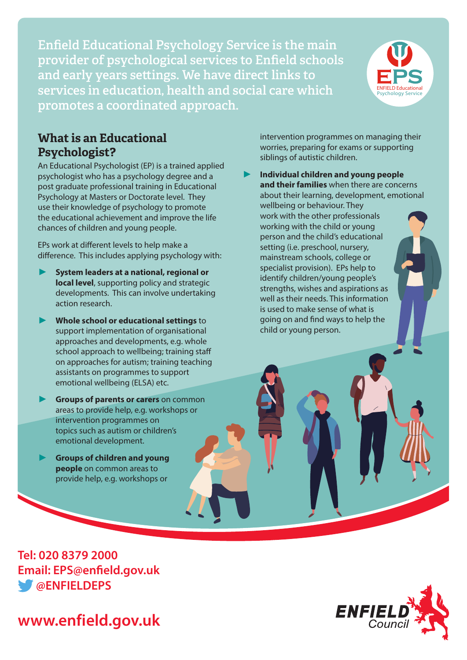**Enfield Educational Psychology Service is the main provider of psychological services to Enfield schools and early years settings. We have direct links to services in education, health and social care which promotes a coordinated approach.**



#### **What is an Educational Psychologist?**

An Educational Psychologist (EP) is a trained applied psychologist who has a psychology degree and a post graduate professional training in Educational Psychology at Masters or Doctorate level. They use their knowledge of psychology to promote the educational achievement and improve the life chances of children and young people.

EPs work at different levels to help make a difference. This includes applying psychology with:

- **System leaders at a national, regional or local level**, supporting policy and strategic developments. This can involve undertaking action research.
- **Whole school or educational settings** to support implementation of organisational approaches and developments, e.g. whole school approach to wellbeing; training staff on approaches for autism; training teaching assistants on programmes to support emotional wellbeing (ELSA) etc.
- **Groups of parents or carers** on common areas to provide help, e.g. workshops or intervention programmes on topics such as autism or children's emotional development.
- **Groups of children and young people** on common areas to provide help, e.g. workshops or

**Tel: 020 8379 2000 Email: EPS@enfield.gov.uk @ENFIELDEPS**



intervention programmes on managing their worries, preparing for exams or supporting siblings of autistic children.

 **Individual children and young people and their families** when there are concerns about their learning, development, emotional wellbeing or behaviour. They work with the other professionals working with the child or young person and the child's educational setting (i.e. preschool, nursery, mainstream schools, college or specialist provision). EPs help to identify children/young people's strengths, wishes and aspirations as well as their needs. This information is used to make sense of what is going on and find ways to help the child or young person.